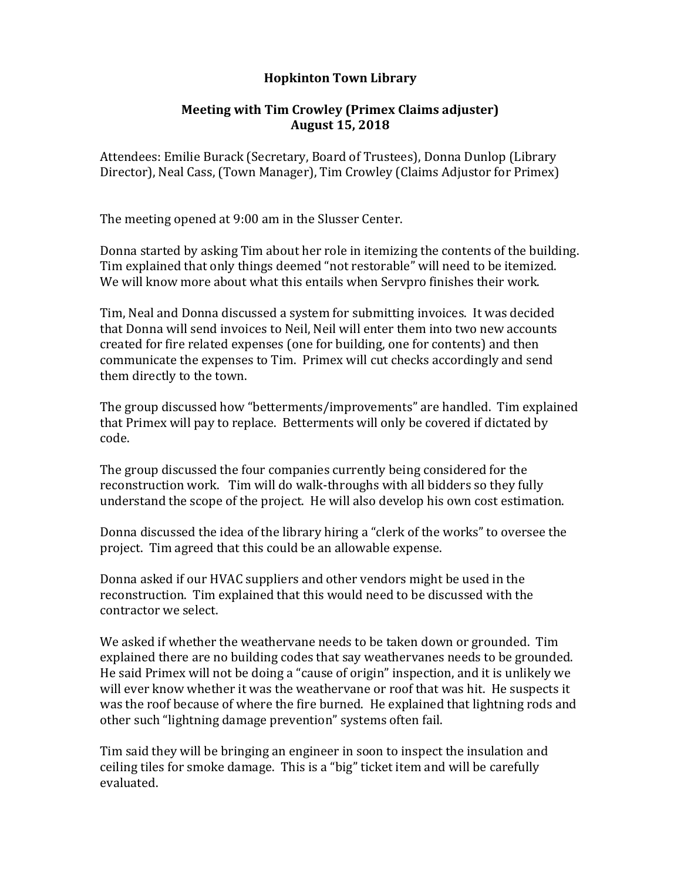## **Hopkinton Town Library**

## **Meeting with Tim Crowley (Primex Claims adjuster) August 15, 2018**

Attendees: Emilie Burack (Secretary, Board of Trustees), Donna Dunlop (Library Director), Neal Cass, (Town Manager), Tim Crowley (Claims Adjustor for Primex)

The meeting opened at 9:00 am in the Slusser Center.

Donna started by asking Tim about her role in itemizing the contents of the building. Tim explained that only things deemed "not restorable" will need to be itemized. We will know more about what this entails when Servpro finishes their work.

Tim, Neal and Donna discussed a system for submitting invoices. It was decided that Donna will send invoices to Neil, Neil will enter them into two new accounts created for fire related expenses (one for building, one for contents) and then communicate the expenses to Tim. Primex will cut checks accordingly and send them directly to the town.

The group discussed how "betterments/improvements" are handled. Tim explained that Primex will pay to replace. Betterments will only be covered if dictated by code.

The group discussed the four companies currently being considered for the reconstruction work. Tim will do walk-throughs with all bidders so they fully understand the scope of the project. He will also develop his own cost estimation.

Donna discussed the idea of the library hiring a "clerk of the works" to oversee the project. Tim agreed that this could be an allowable expense.

Donna asked if our HVAC suppliers and other vendors might be used in the reconstruction. Tim explained that this would need to be discussed with the contractor we select.

We asked if whether the weathervane needs to be taken down or grounded. Tim explained there are no building codes that say weathervanes needs to be grounded. He said Primex will not be doing a "cause of origin" inspection, and it is unlikely we will ever know whether it was the weathervane or roof that was hit. He suspects it was the roof because of where the fire burned. He explained that lightning rods and other such "lightning damage prevention" systems often fail.

Tim said they will be bringing an engineer in soon to inspect the insulation and ceiling tiles for smoke damage. This is a "big" ticket item and will be carefully evaluated.